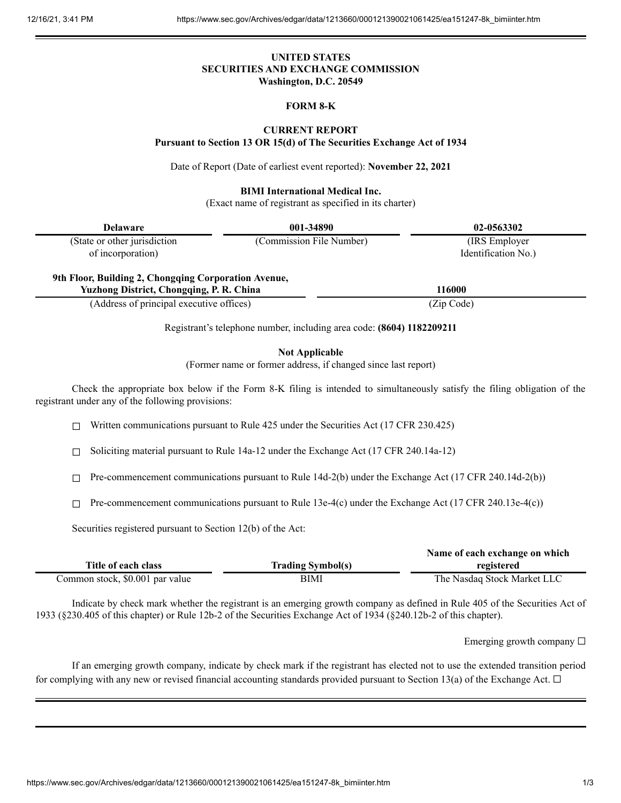# **UNITED STATES SECURITIES AND EXCHANGE COMMISSION Washington, D.C. 20549**

## **FORM 8-K**

### **CURRENT REPORT**

**Pursuant to Section 13 OR 15(d) of The Securities Exchange Act of 1934**

Date of Report (Date of earliest event reported): **November 22, 2021**

#### **BIMI International Medical Inc.**

(Exact name of registrant as specified in its charter)

| <b>Delaware</b>                                                                                         | 001-34890                | 02-0563302          |
|---------------------------------------------------------------------------------------------------------|--------------------------|---------------------|
| (State or other jurisdiction)                                                                           | (Commission File Number) | (IRS Employer)      |
| of incorporation)                                                                                       |                          | Identification No.) |
| 9th Floor, Building 2, Chongqing Corporation Avenue,<br><b>Yuzhong District, Chongqing, P. R. China</b> |                          | 116000              |
| (Address of principal executive offices)                                                                |                          | (Zip Code)          |

Registrant's telephone number, including area code: **(8604) 1182209211**

**Not Applicable**

(Former name or former address, if changed since last report)

Check the appropriate box below if the Form 8-K filing is intended to simultaneously satisfy the filing obligation of the registrant under any of the following provisions:

 $\Box$  Written communications pursuant to Rule 425 under the Securities Act (17 CFR 230.425)

☐ Soliciting material pursuant to Rule 14a-12 under the Exchange Act (17 CFR 240.14a-12)

☐ Pre-commencement communications pursuant to Rule 14d-2(b) under the Exchange Act (17 CFR 240.14d-2(b))

 $\Box$  Pre-commencement communications pursuant to Rule 13e-4(c) under the Exchange Act (17 CFR 240.13e-4(c))

Securities registered pursuant to Section 12(b) of the Act:

|                                 |                          | Name of each exchange on which |
|---------------------------------|--------------------------|--------------------------------|
| Title of each class             | <b>Trading Symbol(s)</b> | registered                     |
| Common stock, \$0.001 par value | BIMI                     | The Nasdag Stock Market LLC    |

Indicate by check mark whether the registrant is an emerging growth company as defined in Rule 405 of the Securities Act of 1933 (§230.405 of this chapter) or Rule 12b-2 of the Securities Exchange Act of 1934 (§240.12b-2 of this chapter).

Emerging growth company  $\Box$ 

If an emerging growth company, indicate by check mark if the registrant has elected not to use the extended transition period for complying with any new or revised financial accounting standards provided pursuant to Section 13(a) of the Exchange Act.  $\Box$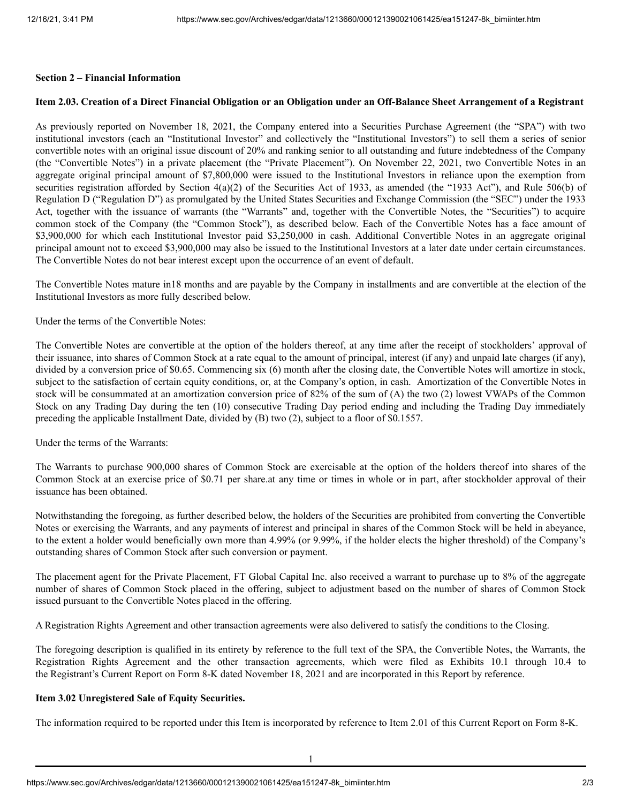### **Section 2 – Financial Information**

#### Item 2.03. Creation of a Direct Financial Obligation or an Obligation under an Off-Balance Sheet Arrangement of a Registrant

As previously reported on November 18, 2021, the Company entered into a Securities Purchase Agreement (the "SPA") with two institutional investors (each an "Institutional Investor" and collectively the "Institutional Investors") to sell them a series of senior convertible notes with an original issue discount of 20% and ranking senior to all outstanding and future indebtedness of the Company (the "Convertible Notes") in a private placement (the "Private Placement"). On November 22, 2021, two Convertible Notes in an aggregate original principal amount of \$7,800,000 were issued to the Institutional Investors in reliance upon the exemption from securities registration afforded by Section 4(a)(2) of the Securities Act of 1933, as amended (the "1933 Act"), and Rule 506(b) of Regulation D ("Regulation D") as promulgated by the United States Securities and Exchange Commission (the "SEC") under the 1933 Act, together with the issuance of warrants (the "Warrants" and, together with the Convertible Notes, the "Securities") to acquire common stock of the Company (the "Common Stock"), as described below. Each of the Convertible Notes has a face amount of \$3,900,000 for which each Institutional Investor paid \$3,250,000 in cash. Additional Convertible Notes in an aggregate original principal amount not to exceed \$3,900,000 may also be issued to the Institutional Investors at a later date under certain circumstances. The Convertible Notes do not bear interest except upon the occurrence of an event of default.

The Convertible Notes mature in18 months and are payable by the Company in installments and are convertible at the election of the Institutional Investors as more fully described below.

Under the terms of the Convertible Notes:

The Convertible Notes are convertible at the option of the holders thereof, at any time after the receipt of stockholders' approval of their issuance, into shares of Common Stock at a rate equal to the amount of principal, interest (if any) and unpaid late charges (if any), divided by a conversion price of \$0.65. Commencing six (6) month after the closing date, the Convertible Notes will amortize in stock, subject to the satisfaction of certain equity conditions, or, at the Company's option, in cash. Amortization of the Convertible Notes in stock will be consummated at an amortization conversion price of 82% of the sum of (A) the two (2) lowest VWAPs of the Common Stock on any Trading Day during the ten (10) consecutive Trading Day period ending and including the Trading Day immediately preceding the applicable Installment Date, divided by (B) two (2), subject to a floor of \$0.1557.

Under the terms of the Warrants:

The Warrants to purchase 900,000 shares of Common Stock are exercisable at the option of the holders thereof into shares of the Common Stock at an exercise price of \$0.71 per share.at any time or times in whole or in part, after stockholder approval of their issuance has been obtained.

Notwithstanding the foregoing, as further described below, the holders of the Securities are prohibited from converting the Convertible Notes or exercising the Warrants, and any payments of interest and principal in shares of the Common Stock will be held in abeyance, to the extent a holder would beneficially own more than 4.99% (or 9.99%, if the holder elects the higher threshold) of the Company's outstanding shares of Common Stock after such conversion or payment.

The placement agent for the Private Placement, FT Global Capital Inc. also received a warrant to purchase up to 8% of the aggregate number of shares of Common Stock placed in the offering, subject to adjustment based on the number of shares of Common Stock issued pursuant to the Convertible Notes placed in the offering.

A Registration Rights Agreement and other transaction agreements were also delivered to satisfy the conditions to the Closing.

The foregoing description is qualified in its entirety by reference to the full text of the SPA, the Convertible Notes, the Warrants, the Registration Rights Agreement and the other transaction agreements, which were filed as Exhibits 10.1 through 10.4 to the Registrant's Current Report on Form 8-K dated November 18, 2021 and are incorporated in this Report by reference.

#### **Item 3.02 Unregistered Sale of Equity Securities.**

The information required to be reported under this Item is incorporated by reference to Item 2.01 of this Current Report on Form 8-K.